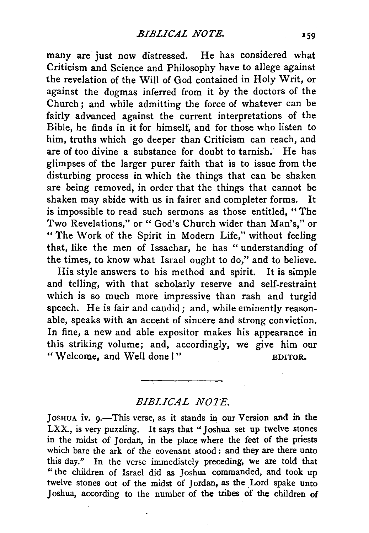many are just now distressed. He has considered what Criticism and Science and Philosophy have to allege against the revelation of the Will of God contained in Holy Writ, or against the dogmas inferred from it by the doctors of the Church; and while admitting the force of whatever can be fairly advanced against the current interpretations of the Bible, he finds in it for himself, and for those who listen to him, truths which go deeper than Criticism can reach, and are of too divine a substance for doubt to tarnish. He has glimpses of the larger purer faith that is to issue from the disturbing process in which the things that can be shaken are being removed, in order that the things that cannot be shaken may abide with us in fairer and completer forms. It is impossible to read such sermons as those entitled, "The Two Revelations," or "God's Church wider than Man's," or "The Work of the Spirit in Modern Life," without feeling that, like the men of Issachar, he has "understanding of the times, to know what Israel ought to do," and to believe.

His style answers to his method and spirit. It is simple and telling, with that scholarly reserve and self-restraint which is so much more impressive than rash and turgid speech. He is fair and candid; and, while eminently reasonable, speaks with an accent of sincere and strong conviction. In fine, a new and able expositor makes his appearance in this striking volume; and, accordingly, we give him our " Welcome, and Well done !" BDITOR.

*BIBLICAL NOTE.* 

JosHUA iv. 9.-This verse, as it stands in our Version and in the LXX., is very puzzling. It says that "Joshua set up twelve stones in the midst of Jordan, in the place where the feet of the priests which bare the ark of the covenant stood : and they are there unto this day." In the verse immediately preceding, we are told that " the children of Israel did as Joshua commanded, and took up twelve stones out of the midst of Jordan, as the Lord spake unto Joshua, according to the number of the tribes of the children of